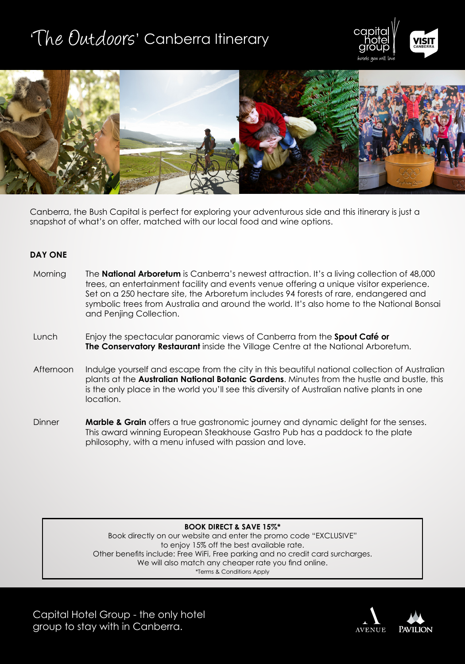# 'The Outdoors' Canberra Itinerary





Canberra, the Bush Capital is perfect for exploring your adventurous side and this itinerary is just a snapshot of what's on offer, matched with our local food and wine options.

### **DAY ONE**

| Morning   | The <b>National Arboretum</b> is Canberra's newest attraction. It's a living collection of 48,000<br>trees, an entertainment facility and events venue offering a unique visitor experience.<br>Set on a 250 hectare site, the Arboretum includes 94 forests of rare, endangered and<br>symbolic trees from Australia and around the world. It's also home to the National Bonsai<br>and Penjing Collection. |
|-----------|--------------------------------------------------------------------------------------------------------------------------------------------------------------------------------------------------------------------------------------------------------------------------------------------------------------------------------------------------------------------------------------------------------------|
| Lunch     | Enjoy the spectacular panoramic views of Canberra from the <b>Spout Café or</b><br>The Conservatory Restaurant inside the Village Centre at the National Arboretum.                                                                                                                                                                                                                                          |
| Afternoon | Indulge yourself and escape from the city in this beautiful national collection of Australian<br>plants at the Australian National Botanic Gardens. Minutes from the hustle and bustle, this<br>is the only place in the world you'll see this diversity of Australian native plants in one<br>location.                                                                                                     |
| Dinner    | <b>Marble &amp; Grain</b> offers a true gastronomic journey and dynamic delight for the senses.                                                                                                                                                                                                                                                                                                              |

This award winning European Steakhouse Gastro Pub has a paddock to the plate philosophy, with a menu infused with passion and love.

**BOOK DIRECT & SAVE 15%\***

Book directly on our website and enter the promo code "EXCLUSIVE" to enjoy 15% off the best available rate. Other benefits include: Free WiFi, Free parking and no credit card surcharges. We will also match any cheaper rate you find online. \*Terms & Conditions Apply

Capital Hotel Group - the only hotel group to stay with in Canberra.